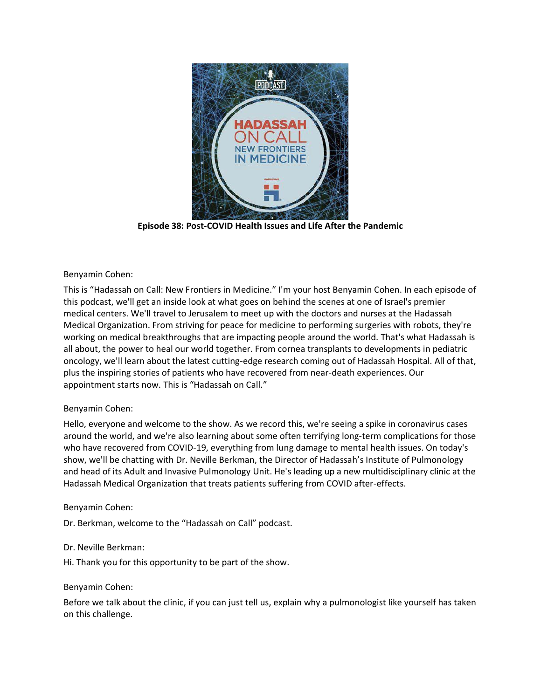

**Episode 38: Post-COVID Health Issues and Life After the Pandemic**

# Benyamin Cohen:

This is "Hadassah on Call: New Frontiers in Medicine." I'm your host Benyamin Cohen. In each episode of this podcast, we'll get an inside look at what goes on behind the scenes at one of Israel's premier medical centers. We'll travel to Jerusalem to meet up with the doctors and nurses at the Hadassah Medical Organization. From striving for peace for medicine to performing surgeries with robots, they're working on medical breakthroughs that are impacting people around the world. That's what Hadassah is all about, the power to heal our world together. From cornea transplants to developments in pediatric oncology, we'll learn about the latest cutting-edge research coming out of Hadassah Hospital. All of that, plus the inspiring stories of patients who have recovered from near-death experiences. Our appointment starts now. This is "Hadassah on Call."

## Benyamin Cohen:

Hello, everyone and welcome to the show. As we record this, we're seeing a spike in coronavirus cases around the world, and we're also learning about some often terrifying long-term complications for those who have recovered from COVID-19, everything from lung damage to mental health issues. On today's show, we'll be chatting with Dr. Neville Berkman, the Director of Hadassah's Institute of Pulmonology and head of its Adult and Invasive Pulmonology Unit. He's leading up a new multidisciplinary clinic at the Hadassah Medical Organization that treats patients suffering from COVID after-effects.

## Benyamin Cohen:

Dr. Berkman, welcome to the "Hadassah on Call" podcast.

## Dr. Neville Berkman:

Hi. Thank you for this opportunity to be part of the show.

## Benyamin Cohen:

Before we talk about the clinic, if you can just tell us, explain why a pulmonologist like yourself has taken on this challenge.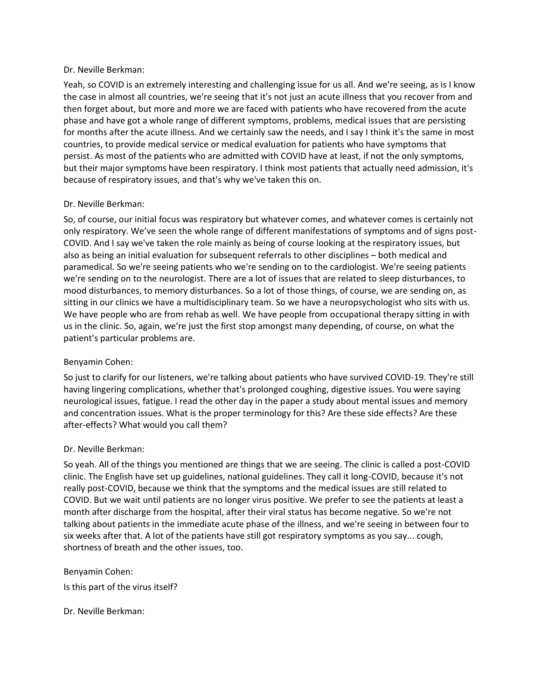Yeah, so COVID is an extremely interesting and challenging issue for us all. And we're seeing, as is I know the case in almost all countries, we're seeing that it's not just an acute illness that you recover from and then forget about, but more and more we are faced with patients who have recovered from the acute phase and have got a whole range of different symptoms, problems, medical issues that are persisting for months after the acute illness. And we certainly saw the needs, and I say I think it's the same in most countries, to provide medical service or medical evaluation for patients who have symptoms that persist. As most of the patients who are admitted with COVID have at least, if not the only symptoms, but their major symptoms have been respiratory. I think most patients that actually need admission, it's because of respiratory issues, and that's why we've taken this on.

### Dr. Neville Berkman:

So, of course, our initial focus was respiratory but whatever comes, and whatever comes is certainly not only respiratory. We've seen the whole range of different manifestations of symptoms and of signs post-COVID. And I say we've taken the role mainly as being of course looking at the respiratory issues, but also as being an initial evaluation for subsequent referrals to other disciplines – both medical and paramedical. So we're seeing patients who we're sending on to the cardiologist. We're seeing patients we're sending on to the neurologist. There are a lot of issues that are related to sleep disturbances, to mood disturbances, to memory disturbances. So a lot of those things, of course, we are sending on, as sitting in our clinics we have a multidisciplinary team. So we have a neuropsychologist who sits with us. We have people who are from rehab as well. We have people from occupational therapy sitting in with us in the clinic. So, again, we're just the first stop amongst many depending, of course, on what the patient's particular problems are.

## Benyamin Cohen:

So just to clarify for our listeners, we're talking about patients who have survived COVID-19. They're still having lingering complications, whether that's prolonged coughing, digestive issues. You were saying neurological issues, fatigue. I read the other day in the paper a study about mental issues and memory and concentration issues. What is the proper terminology for this? Are these side effects? Are these after-effects? What would you call them?

## Dr. Neville Berkman:

So yeah. All of the things you mentioned are things that we are seeing. The clinic is called a post-COVID clinic. The English have set up guidelines, national guidelines. They call it long-COVID, because it's not really post-COVID, because we think that the symptoms and the medical issues are still related to COVID. But we wait until patients are no longer virus positive. We prefer to see the patients at least a month after discharge from the hospital, after their viral status has become negative. So we're not talking about patients in the immediate acute phase of the illness, and we're seeing in between four to six weeks after that. A lot of the patients have still got respiratory symptoms as you say... cough, shortness of breath and the other issues, too.

Benyamin Cohen: Is this part of the virus itself?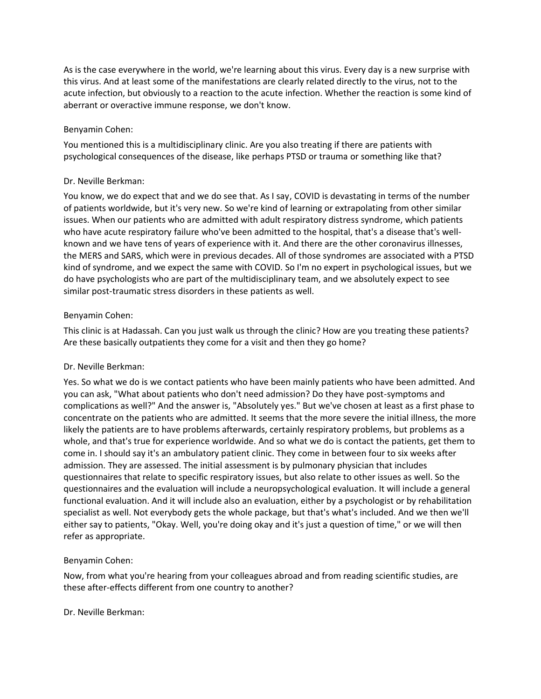As is the case everywhere in the world, we're learning about this virus. Every day is a new surprise with this virus. And at least some of the manifestations are clearly related directly to the virus, not to the acute infection, but obviously to a reaction to the acute infection. Whether the reaction is some kind of aberrant or overactive immune response, we don't know.

## Benyamin Cohen:

You mentioned this is a multidisciplinary clinic. Are you also treating if there are patients with psychological consequences of the disease, like perhaps PTSD or trauma or something like that?

## Dr. Neville Berkman:

You know, we do expect that and we do see that. As I say, COVID is devastating in terms of the number of patients worldwide, but it's very new. So we're kind of learning or extrapolating from other similar issues. When our patients who are admitted with adult respiratory distress syndrome, which patients who have acute respiratory failure who've been admitted to the hospital, that's a disease that's wellknown and we have tens of years of experience with it. And there are the other coronavirus illnesses, the MERS and SARS, which were in previous decades. All of those syndromes are associated with a PTSD kind of syndrome, and we expect the same with COVID. So I'm no expert in psychological issues, but we do have psychologists who are part of the multidisciplinary team, and we absolutely expect to see similar post-traumatic stress disorders in these patients as well.

### Benyamin Cohen:

This clinic is at Hadassah. Can you just walk us through the clinic? How are you treating these patients? Are these basically outpatients they come for a visit and then they go home?

## Dr. Neville Berkman:

Yes. So what we do is we contact patients who have been mainly patients who have been admitted. And you can ask, "What about patients who don't need admission? Do they have post-symptoms and complications as well?" And the answer is, "Absolutely yes." But we've chosen at least as a first phase to concentrate on the patients who are admitted. It seems that the more severe the initial illness, the more likely the patients are to have problems afterwards, certainly respiratory problems, but problems as a whole, and that's true for experience worldwide. And so what we do is contact the patients, get them to come in. I should say it's an ambulatory patient clinic. They come in between four to six weeks after admission. They are assessed. The initial assessment is by pulmonary physician that includes questionnaires that relate to specific respiratory issues, but also relate to other issues as well. So the questionnaires and the evaluation will include a neuropsychological evaluation. It will include a general functional evaluation. And it will include also an evaluation, either by a psychologist or by rehabilitation specialist as well. Not everybody gets the whole package, but that's what's included. And we then we'll either say to patients, "Okay. Well, you're doing okay and it's just a question of time," or we will then refer as appropriate.

## Benyamin Cohen:

Now, from what you're hearing from your colleagues abroad and from reading scientific studies, are these after-effects different from one country to another?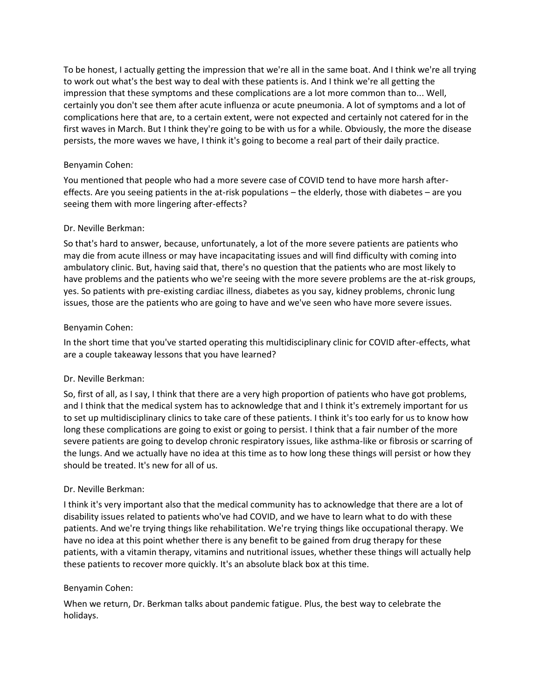To be honest, I actually getting the impression that we're all in the same boat. And I think we're all trying to work out what's the best way to deal with these patients is. And I think we're all getting the impression that these symptoms and these complications are a lot more common than to... Well, certainly you don't see them after acute influenza or acute pneumonia. A lot of symptoms and a lot of complications here that are, to a certain extent, were not expected and certainly not catered for in the first waves in March. But I think they're going to be with us for a while. Obviously, the more the disease persists, the more waves we have, I think it's going to become a real part of their daily practice.

# Benyamin Cohen:

You mentioned that people who had a more severe case of COVID tend to have more harsh aftereffects. Are you seeing patients in the at-risk populations – the elderly, those with diabetes – are you seeing them with more lingering after-effects?

## Dr. Neville Berkman:

So that's hard to answer, because, unfortunately, a lot of the more severe patients are patients who may die from acute illness or may have incapacitating issues and will find difficulty with coming into ambulatory clinic. But, having said that, there's no question that the patients who are most likely to have problems and the patients who we're seeing with the more severe problems are the at-risk groups, yes. So patients with pre-existing cardiac illness, diabetes as you say, kidney problems, chronic lung issues, those are the patients who are going to have and we've seen who have more severe issues.

# Benyamin Cohen:

In the short time that you've started operating this multidisciplinary clinic for COVID after-effects, what are a couple takeaway lessons that you have learned?

## Dr. Neville Berkman:

So, first of all, as I say, I think that there are a very high proportion of patients who have got problems, and I think that the medical system has to acknowledge that and I think it's extremely important for us to set up multidisciplinary clinics to take care of these patients. I think it's too early for us to know how long these complications are going to exist or going to persist. I think that a fair number of the more severe patients are going to develop chronic respiratory issues, like asthma-like or fibrosis or scarring of the lungs. And we actually have no idea at this time as to how long these things will persist or how they should be treated. It's new for all of us.

## Dr. Neville Berkman:

I think it's very important also that the medical community has to acknowledge that there are a lot of disability issues related to patients who've had COVID, and we have to learn what to do with these patients. And we're trying things like rehabilitation. We're trying things like occupational therapy. We have no idea at this point whether there is any benefit to be gained from drug therapy for these patients, with a vitamin therapy, vitamins and nutritional issues, whether these things will actually help these patients to recover more quickly. It's an absolute black box at this time.

## Benyamin Cohen:

When we return, Dr. Berkman talks about pandemic fatigue. Plus, the best way to celebrate the holidays.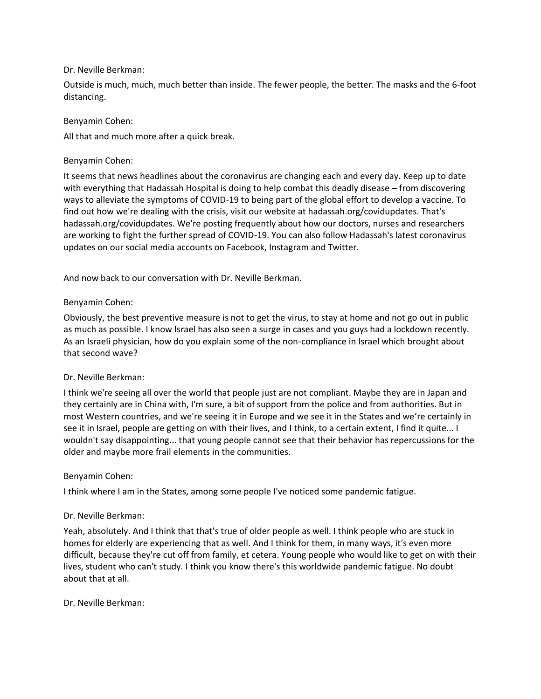Outside is much, much, much better than inside. The fewer people, the better. The masks and the 6-foot distancing.

### Benyamin Cohen:

All that and much more after a quick break.

### Benyamin Cohen:

It seems that news headlines about the coronavirus are changing each and every day. Keep up to date with everything that Hadassah Hospital is doing to help combat this deadly disease – from discovering ways to alleviate the symptoms of COVID-19 to being part of the global effort to develop a vaccine. To find out how we're dealing with the crisis, visit our website at hadassah.org/covidupdates. That's hadassah.org/covidupdates. We're posting frequently about how our doctors, nurses and researchers are working to fight the further spread of COVID-19. You can also follow Hadassah's latest coronavirus updates on our social media accounts on Facebook, Instagram and Twitter.

And now back to our conversation with Dr. Neville Berkman.

### Benyamin Cohen:

Obviously, the best preventive measure is not to get the virus, to stay at home and not go out in public as much as possible. I know Israel has also seen a surge in cases and you guys had a lockdown recently. As an Israeli physician, how do you explain some of the non-compliance in Israel which brought about that second wave?

#### Dr. Neville Berkman:

I think we're seeing all over the world that people just are not compliant. Maybe they are in Japan and they certainly are in China with, I'm sure, a bit of support from the police and from authorities. But in most Western countries, and we're seeing it in Europe and we see it in the States and we're certainly in see it in Israel, people are getting on with their lives, and I think, to a certain extent, I find it quite... I wouldn't say disappointing... that young people cannot see that their behavior has repercussions for the older and maybe more frail elements in the communities.

#### Benyamin Cohen:

I think where I am in the States, among some people I've noticed some pandemic fatigue.

#### Dr. Neville Berkman:

Yeah, absolutely. And I think that that's true of older people as well. I think people who are stuck in homes for elderly are experiencing that as well. And I think for them, in many ways, it's even more difficult, because they're cut off from family, et cetera. Young people who would like to get on with their lives, student who can't study. I think you know there's this worldwide pandemic fatigue. No doubt about that at all.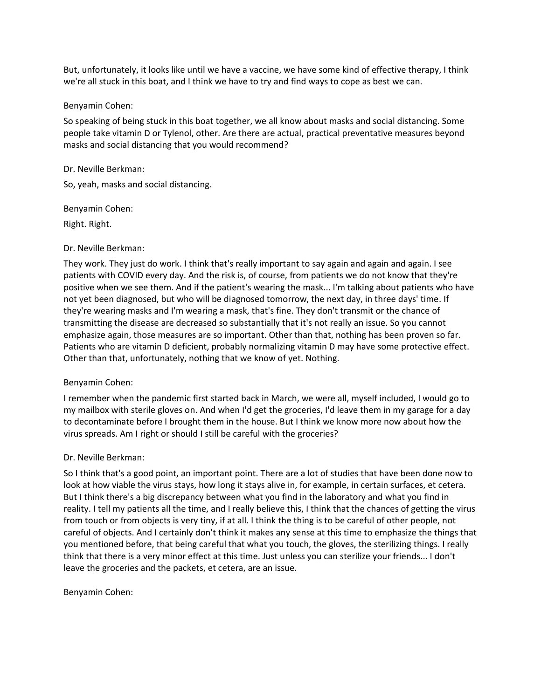But, unfortunately, it looks like until we have a vaccine, we have some kind of effective therapy, I think we're all stuck in this boat, and I think we have to try and find ways to cope as best we can.

#### Benyamin Cohen:

So speaking of being stuck in this boat together, we all know about masks and social distancing. Some people take vitamin D or Tylenol, other. Are there are actual, practical preventative measures beyond masks and social distancing that you would recommend?

### Dr. Neville Berkman:

So, yeah, masks and social distancing.

Benyamin Cohen:

Right. Right.

### Dr. Neville Berkman:

They work. They just do work. I think that's really important to say again and again and again. I see patients with COVID every day. And the risk is, of course, from patients we do not know that they're positive when we see them. And if the patient's wearing the mask... I'm talking about patients who have not yet been diagnosed, but who will be diagnosed tomorrow, the next day, in three days' time. If they're wearing masks and I'm wearing a mask, that's fine. They don't transmit or the chance of transmitting the disease are decreased so substantially that it's not really an issue. So you cannot emphasize again, those measures are so important. Other than that, nothing has been proven so far. Patients who are vitamin D deficient, probably normalizing vitamin D may have some protective effect. Other than that, unfortunately, nothing that we know of yet. Nothing.

## Benyamin Cohen:

I remember when the pandemic first started back in March, we were all, myself included, I would go to my mailbox with sterile gloves on. And when I'd get the groceries, I'd leave them in my garage for a day to decontaminate before I brought them in the house. But I think we know more now about how the virus spreads. Am I right or should I still be careful with the groceries?

## Dr. Neville Berkman:

So I think that's a good point, an important point. There are a lot of studies that have been done now to look at how viable the virus stays, how long it stays alive in, for example, in certain surfaces, et cetera. But I think there's a big discrepancy between what you find in the laboratory and what you find in reality. I tell my patients all the time, and I really believe this, I think that the chances of getting the virus from touch or from objects is very tiny, if at all. I think the thing is to be careful of other people, not careful of objects. And I certainly don't think it makes any sense at this time to emphasize the things that you mentioned before, that being careful that what you touch, the gloves, the sterilizing things. I really think that there is a very minor effect at this time. Just unless you can sterilize your friends... I don't leave the groceries and the packets, et cetera, are an issue.

## Benyamin Cohen: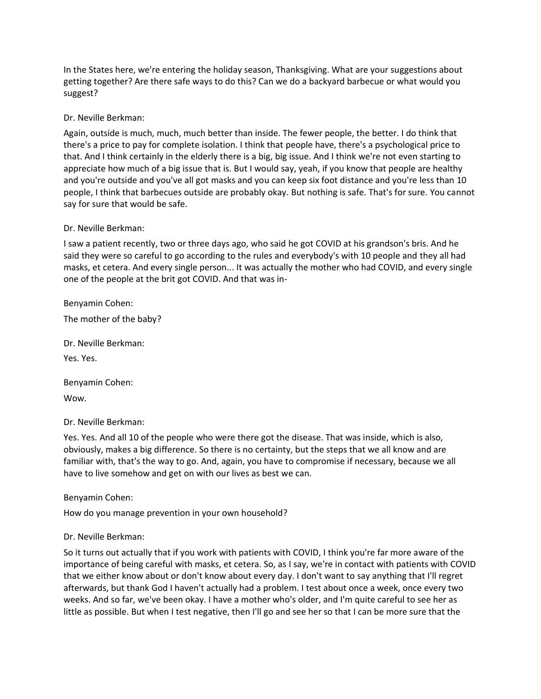In the States here, we're entering the holiday season, Thanksgiving. What are your suggestions about getting together? Are there safe ways to do this? Can we do a backyard barbecue or what would you suggest?

## Dr. Neville Berkman:

Again, outside is much, much, much better than inside. The fewer people, the better. I do think that there's a price to pay for complete isolation. I think that people have, there's a psychological price to that. And I think certainly in the elderly there is a big, big issue. And I think we're not even starting to appreciate how much of a big issue that is. But I would say, yeah, if you know that people are healthy and you're outside and you've all got masks and you can keep six foot distance and you're less than 10 people, I think that barbecues outside are probably okay. But nothing is safe. That's for sure. You cannot say for sure that would be safe.

## Dr. Neville Berkman:

I saw a patient recently, two or three days ago, who said he got COVID at his grandson's bris. And he said they were so careful to go according to the rules and everybody's with 10 people and they all had masks, et cetera. And every single person... It was actually the mother who had COVID, and every single one of the people at the brit got COVID. And that was in-

Benyamin Cohen:

The mother of the baby?

Dr. Neville Berkman: Yes. Yes.

Benyamin Cohen: Wow.

## Dr. Neville Berkman:

Yes. Yes. And all 10 of the people who were there got the disease. That was inside, which is also, obviously, makes a big difference. So there is no certainty, but the steps that we all know and are familiar with, that's the way to go. And, again, you have to compromise if necessary, because we all have to live somehow and get on with our lives as best we can.

Benyamin Cohen:

How do you manage prevention in your own household?

## Dr. Neville Berkman:

So it turns out actually that if you work with patients with COVID, I think you're far more aware of the importance of being careful with masks, et cetera. So, as I say, we're in contact with patients with COVID that we either know about or don't know about every day. I don't want to say anything that I'll regret afterwards, but thank God I haven't actually had a problem. I test about once a week, once every two weeks. And so far, we've been okay. I have a mother who's older, and I'm quite careful to see her as little as possible. But when I test negative, then I'll go and see her so that I can be more sure that the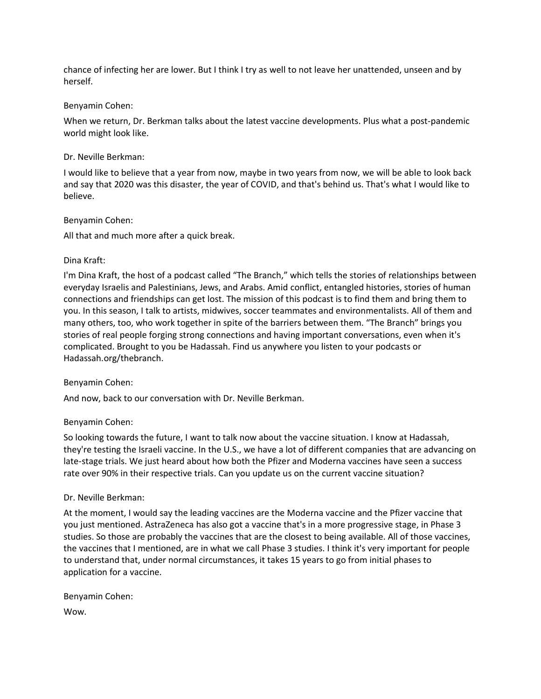chance of infecting her are lower. But I think I try as well to not leave her unattended, unseen and by herself.

### Benyamin Cohen:

When we return, Dr. Berkman talks about the latest vaccine developments. Plus what a post-pandemic world might look like.

## Dr. Neville Berkman:

I would like to believe that a year from now, maybe in two years from now, we will be able to look back and say that 2020 was this disaster, the year of COVID, and that's behind us. That's what I would like to believe.

### Benyamin Cohen:

All that and much more after a quick break.

### Dina Kraft:

I'm Dina Kraft, the host of a podcast called "The Branch," which tells the stories of relationships between everyday Israelis and Palestinians, Jews, and Arabs. Amid conflict, entangled histories, stories of human connections and friendships can get lost. The mission of this podcast is to find them and bring them to you. In this season, I talk to artists, midwives, soccer teammates and environmentalists. All of them and many others, too, who work together in spite of the barriers between them. "The Branch" brings you stories of real people forging strong connections and having important conversations, even when it's complicated. Brought to you be Hadassah. Find us anywhere you listen to your podcasts or Hadassah.org/thebranch.

## Benyamin Cohen:

And now, back to our conversation with Dr. Neville Berkman.

## Benyamin Cohen:

So looking towards the future, I want to talk now about the vaccine situation. I know at Hadassah, they're testing the Israeli vaccine. In the U.S., we have a lot of different companies that are advancing on late-stage trials. We just heard about how both the Pfizer and Moderna vaccines have seen a success rate over 90% in their respective trials. Can you update us on the current vaccine situation?

## Dr. Neville Berkman:

At the moment, I would say the leading vaccines are the Moderna vaccine and the Pfizer vaccine that you just mentioned. AstraZeneca has also got a vaccine that's in a more progressive stage, in Phase 3 studies. So those are probably the vaccines that are the closest to being available. All of those vaccines, the vaccines that I mentioned, are in what we call Phase 3 studies. I think it's very important for people to understand that, under normal circumstances, it takes 15 years to go from initial phases to application for a vaccine.

Benyamin Cohen: Wow.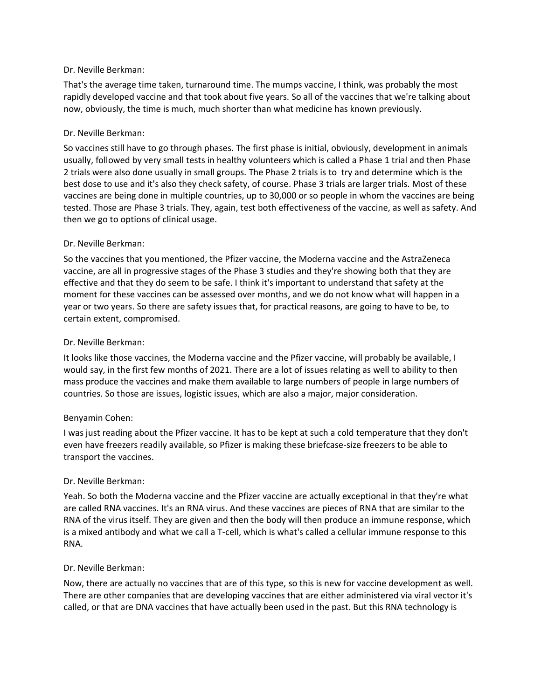That's the average time taken, turnaround time. The mumps vaccine, I think, was probably the most rapidly developed vaccine and that took about five years. So all of the vaccines that we're talking about now, obviously, the time is much, much shorter than what medicine has known previously.

## Dr. Neville Berkman:

So vaccines still have to go through phases. The first phase is initial, obviously, development in animals usually, followed by very small tests in healthy volunteers which is called a Phase 1 trial and then Phase 2 trials were also done usually in small groups. The Phase 2 trials is to try and determine which is the best dose to use and it's also they check safety, of course. Phase 3 trials are larger trials. Most of these vaccines are being done in multiple countries, up to 30,000 or so people in whom the vaccines are being tested. Those are Phase 3 trials. They, again, test both effectiveness of the vaccine, as well as safety. And then we go to options of clinical usage.

## Dr. Neville Berkman:

So the vaccines that you mentioned, the Pfizer vaccine, the Moderna vaccine and the AstraZeneca vaccine, are all in progressive stages of the Phase 3 studies and they're showing both that they are effective and that they do seem to be safe. I think it's important to understand that safety at the moment for these vaccines can be assessed over months, and we do not know what will happen in a year or two years. So there are safety issues that, for practical reasons, are going to have to be, to certain extent, compromised.

### Dr. Neville Berkman:

It looks like those vaccines, the Moderna vaccine and the Pfizer vaccine, will probably be available, I would say, in the first few months of 2021. There are a lot of issues relating as well to ability to then mass produce the vaccines and make them available to large numbers of people in large numbers of countries. So those are issues, logistic issues, which are also a major, major consideration.

## Benyamin Cohen:

I was just reading about the Pfizer vaccine. It has to be kept at such a cold temperature that they don't even have freezers readily available, so Pfizer is making these briefcase-size freezers to be able to transport the vaccines.

## Dr. Neville Berkman:

Yeah. So both the Moderna vaccine and the Pfizer vaccine are actually exceptional in that they're what are called RNA vaccines. It's an RNA virus. And these vaccines are pieces of RNA that are similar to the RNA of the virus itself. They are given and then the body will then produce an immune response, which is a mixed antibody and what we call a T-cell, which is what's called a cellular immune response to this RNA.

#### Dr. Neville Berkman:

Now, there are actually no vaccines that are of this type, so this is new for vaccine development as well. There are other companies that are developing vaccines that are either administered via viral vector it's called, or that are DNA vaccines that have actually been used in the past. But this RNA technology is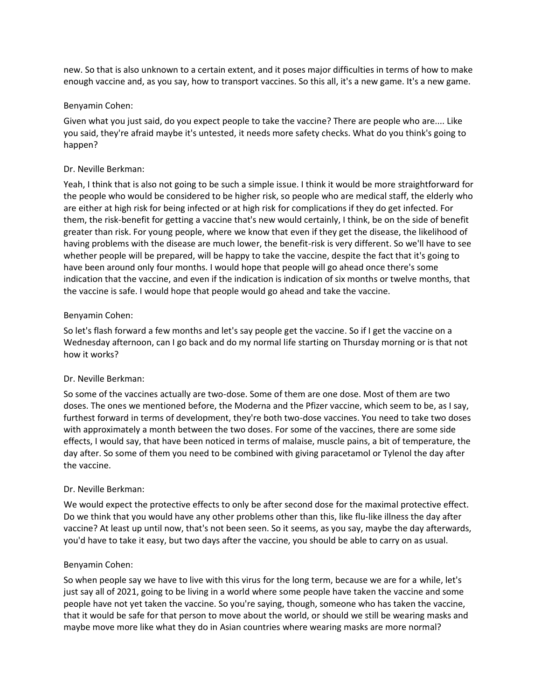new. So that is also unknown to a certain extent, and it poses major difficulties in terms of how to make enough vaccine and, as you say, how to transport vaccines. So this all, it's a new game. It's a new game.

### Benyamin Cohen:

Given what you just said, do you expect people to take the vaccine? There are people who are.... Like you said, they're afraid maybe it's untested, it needs more safety checks. What do you think's going to happen?

## Dr. Neville Berkman:

Yeah, I think that is also not going to be such a simple issue. I think it would be more straightforward for the people who would be considered to be higher risk, so people who are medical staff, the elderly who are either at high risk for being infected or at high risk for complications if they do get infected. For them, the risk-benefit for getting a vaccine that's new would certainly, I think, be on the side of benefit greater than risk. For young people, where we know that even if they get the disease, the likelihood of having problems with the disease are much lower, the benefit-risk is very different. So we'll have to see whether people will be prepared, will be happy to take the vaccine, despite the fact that it's going to have been around only four months. I would hope that people will go ahead once there's some indication that the vaccine, and even if the indication is indication of six months or twelve months, that the vaccine is safe. I would hope that people would go ahead and take the vaccine.

## Benyamin Cohen:

So let's flash forward a few months and let's say people get the vaccine. So if I get the vaccine on a Wednesday afternoon, can I go back and do my normal life starting on Thursday morning or is that not how it works?

## Dr. Neville Berkman:

So some of the vaccines actually are two-dose. Some of them are one dose. Most of them are two doses. The ones we mentioned before, the Moderna and the Pfizer vaccine, which seem to be, as I say, furthest forward in terms of development, they're both two-dose vaccines. You need to take two doses with approximately a month between the two doses. For some of the vaccines, there are some side effects, I would say, that have been noticed in terms of malaise, muscle pains, a bit of temperature, the day after. So some of them you need to be combined with giving paracetamol or Tylenol the day after the vaccine.

## Dr. Neville Berkman:

We would expect the protective effects to only be after second dose for the maximal protective effect. Do we think that you would have any other problems other than this, like flu-like illness the day after vaccine? At least up until now, that's not been seen. So it seems, as you say, maybe the day afterwards, you'd have to take it easy, but two days after the vaccine, you should be able to carry on as usual.

## Benyamin Cohen:

So when people say we have to live with this virus for the long term, because we are for a while, let's just say all of 2021, going to be living in a world where some people have taken the vaccine and some people have not yet taken the vaccine. So you're saying, though, someone who has taken the vaccine, that it would be safe for that person to move about the world, or should we still be wearing masks and maybe move more like what they do in Asian countries where wearing masks are more normal?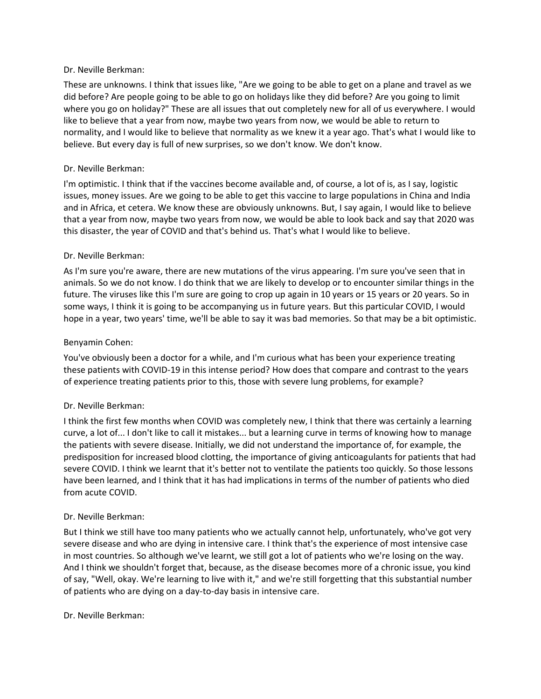These are unknowns. I think that issues like, "Are we going to be able to get on a plane and travel as we did before? Are people going to be able to go on holidays like they did before? Are you going to limit where you go on holiday?" These are all issues that out completely new for all of us everywhere. I would like to believe that a year from now, maybe two years from now, we would be able to return to normality, and I would like to believe that normality as we knew it a year ago. That's what I would like to believe. But every day is full of new surprises, so we don't know. We don't know.

### Dr. Neville Berkman:

I'm optimistic. I think that if the vaccines become available and, of course, a lot of is, as I say, logistic issues, money issues. Are we going to be able to get this vaccine to large populations in China and India and in Africa, et cetera. We know these are obviously unknowns. But, I say again, I would like to believe that a year from now, maybe two years from now, we would be able to look back and say that 2020 was this disaster, the year of COVID and that's behind us. That's what I would like to believe.

### Dr. Neville Berkman:

As I'm sure you're aware, there are new mutations of the virus appearing. I'm sure you've seen that in animals. So we do not know. I do think that we are likely to develop or to encounter similar things in the future. The viruses like this I'm sure are going to crop up again in 10 years or 15 years or 20 years. So in some ways, I think it is going to be accompanying us in future years. But this particular COVID, I would hope in a year, two years' time, we'll be able to say it was bad memories. So that may be a bit optimistic.

### Benyamin Cohen:

You've obviously been a doctor for a while, and I'm curious what has been your experience treating these patients with COVID-19 in this intense period? How does that compare and contrast to the years of experience treating patients prior to this, those with severe lung problems, for example?

## Dr. Neville Berkman:

I think the first few months when COVID was completely new, I think that there was certainly a learning curve, a lot of... I don't like to call it mistakes... but a learning curve in terms of knowing how to manage the patients with severe disease. Initially, we did not understand the importance of, for example, the predisposition for increased blood clotting, the importance of giving anticoagulants for patients that had severe COVID. I think we learnt that it's better not to ventilate the patients too quickly. So those lessons have been learned, and I think that it has had implications in terms of the number of patients who died from acute COVID.

#### Dr. Neville Berkman:

But I think we still have too many patients who we actually cannot help, unfortunately, who've got very severe disease and who are dying in intensive care. I think that's the experience of most intensive case in most countries. So although we've learnt, we still got a lot of patients who we're losing on the way. And I think we shouldn't forget that, because, as the disease becomes more of a chronic issue, you kind of say, "Well, okay. We're learning to live with it," and we're still forgetting that this substantial number of patients who are dying on a day-to-day basis in intensive care.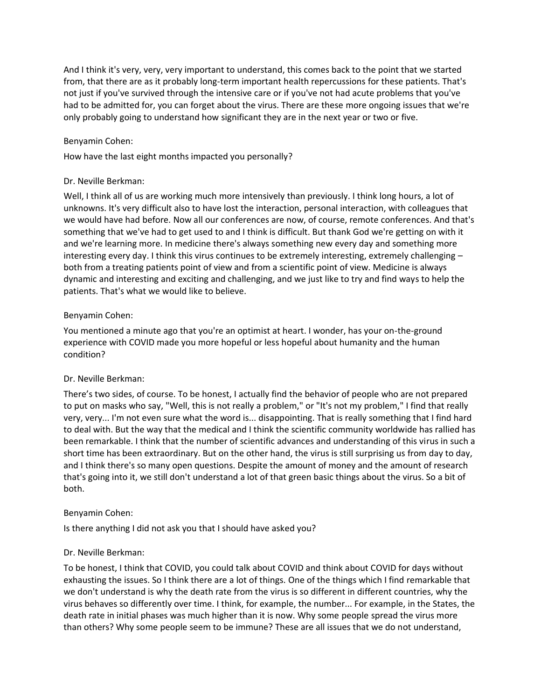And I think it's very, very, very important to understand, this comes back to the point that we started from, that there are as it probably long-term important health repercussions for these patients. That's not just if you've survived through the intensive care or if you've not had acute problems that you've had to be admitted for, you can forget about the virus. There are these more ongoing issues that we're only probably going to understand how significant they are in the next year or two or five.

## Benyamin Cohen:

How have the last eight months impacted you personally?

### Dr. Neville Berkman:

Well, I think all of us are working much more intensively than previously. I think long hours, a lot of unknowns. It's very difficult also to have lost the interaction, personal interaction, with colleagues that we would have had before. Now all our conferences are now, of course, remote conferences. And that's something that we've had to get used to and I think is difficult. But thank God we're getting on with it and we're learning more. In medicine there's always something new every day and something more interesting every day. I think this virus continues to be extremely interesting, extremely challenging – both from a treating patients point of view and from a scientific point of view. Medicine is always dynamic and interesting and exciting and challenging, and we just like to try and find ways to help the patients. That's what we would like to believe.

### Benyamin Cohen:

You mentioned a minute ago that you're an optimist at heart. I wonder, has your on-the-ground experience with COVID made you more hopeful or less hopeful about humanity and the human condition?

#### Dr. Neville Berkman:

There's two sides, of course. To be honest, I actually find the behavior of people who are not prepared to put on masks who say, "Well, this is not really a problem," or "It's not my problem," I find that really very, very... I'm not even sure what the word is... disappointing. That is really something that I find hard to deal with. But the way that the medical and I think the scientific community worldwide has rallied has been remarkable. I think that the number of scientific advances and understanding of this virus in such a short time has been extraordinary. But on the other hand, the virus is still surprising us from day to day, and I think there's so many open questions. Despite the amount of money and the amount of research that's going into it, we still don't understand a lot of that green basic things about the virus. So a bit of both.

#### Benyamin Cohen:

Is there anything I did not ask you that I should have asked you?

#### Dr. Neville Berkman:

To be honest, I think that COVID, you could talk about COVID and think about COVID for days without exhausting the issues. So I think there are a lot of things. One of the things which I find remarkable that we don't understand is why the death rate from the virus is so different in different countries, why the virus behaves so differently over time. I think, for example, the number... For example, in the States, the death rate in initial phases was much higher than it is now. Why some people spread the virus more than others? Why some people seem to be immune? These are all issues that we do not understand,